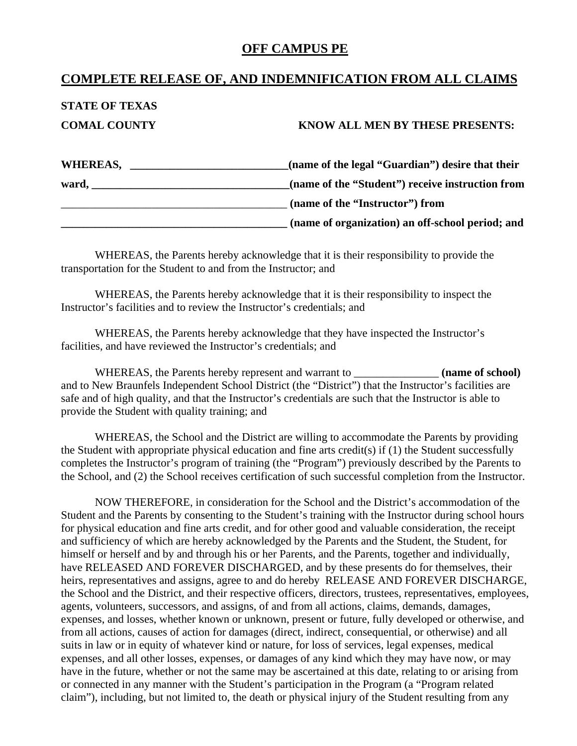## **OFF CAMPUS PE**

## **COMPLETE RELEASE OF, AND INDEMNIFICATION FROM ALL CLAIMS**

# **STATE OF TEXAS**

#### **COMAL COUNTY KNOW ALL MEN BY THESE PRESENTS:**

| WHEREAS, | (name of the legal "Guardian") desire that their |
|----------|--------------------------------------------------|
| ward,    | (name of the "Student") receive instruction from |
|          | (name of the "Instructor") from                  |
|          | (name of organization) an off-school period; and |

 WHEREAS, the Parents hereby acknowledge that it is their responsibility to provide the transportation for the Student to and from the Instructor; and

 WHEREAS, the Parents hereby acknowledge that it is their responsibility to inspect the Instructor's facilities and to review the Instructor's credentials; and

 WHEREAS, the Parents hereby acknowledge that they have inspected the Instructor's facilities, and have reviewed the Instructor's credentials; and

WHEREAS, the Parents hereby represent and warrant to **the end of school**) and to New Braunfels Independent School District (the "District") that the Instructor's facilities are safe and of high quality, and that the Instructor's credentials are such that the Instructor is able to provide the Student with quality training; and

 WHEREAS, the School and the District are willing to accommodate the Parents by providing the Student with appropriate physical education and fine arts credit(s) if (1) the Student successfully completes the Instructor's program of training (the "Program") previously described by the Parents to the School, and (2) the School receives certification of such successful completion from the Instructor.

 NOW THEREFORE, in consideration for the School and the District's accommodation of the Student and the Parents by consenting to the Student's training with the Instructor during school hours for physical education and fine arts credit, and for other good and valuable consideration, the receipt and sufficiency of which are hereby acknowledged by the Parents and the Student, the Student, for himself or herself and by and through his or her Parents, and the Parents, together and individually, have RELEASED AND FOREVER DISCHARGED, and by these presents do for themselves, their heirs, representatives and assigns, agree to and do hereby RELEASE AND FOREVER DISCHARGE, the School and the District, and their respective officers, directors, trustees, representatives, employees, agents, volunteers, successors, and assigns, of and from all actions, claims, demands, damages, expenses, and losses, whether known or unknown, present or future, fully developed or otherwise, and from all actions, causes of action for damages (direct, indirect, consequential, or otherwise) and all suits in law or in equity of whatever kind or nature, for loss of services, legal expenses, medical expenses, and all other losses, expenses, or damages of any kind which they may have now, or may have in the future, whether or not the same may be ascertained at this date, relating to or arising from or connected in any manner with the Student's participation in the Program (a "Program related claim"), including, but not limited to, the death or physical injury of the Student resulting from any